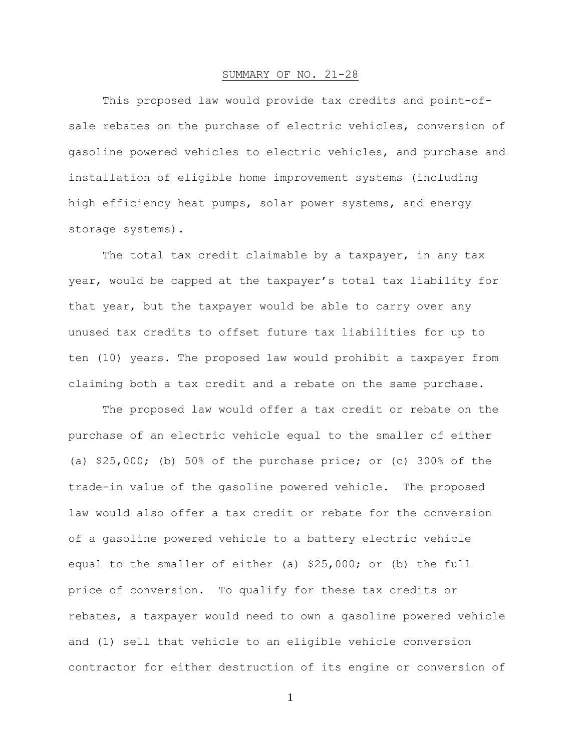## SUMMARY OF NO. 21-28

This proposed law would provide tax credits and point-ofsale rebates on the purchase of electric vehicles, conversion of gasoline powered vehicles to electric vehicles, and purchase and installation of eligible home improvement systems (including high efficiency heat pumps, solar power systems, and energy storage systems).

The total tax credit claimable by a taxpayer, in any tax year, would be capped at the taxpayer's total tax liability for that year, but the taxpayer would be able to carry over any unused tax credits to offset future tax liabilities for up to ten (10) years. The proposed law would prohibit a taxpayer from claiming both a tax credit and a rebate on the same purchase.

The proposed law would offer a tax credit or rebate on the purchase of an electric vehicle equal to the smaller of either (a) \$25,000; (b) 50% of the purchase price; or (c) 300% of the trade-in value of the gasoline powered vehicle. The proposed law would also offer a tax credit or rebate for the conversion of a gasoline powered vehicle to a battery electric vehicle equal to the smaller of either (a) \$25,000; or (b) the full price of conversion. To qualify for these tax credits or rebates, a taxpayer would need to own a gasoline powered vehicle and (1) sell that vehicle to an eligible vehicle conversion contractor for either destruction of its engine or conversion of

1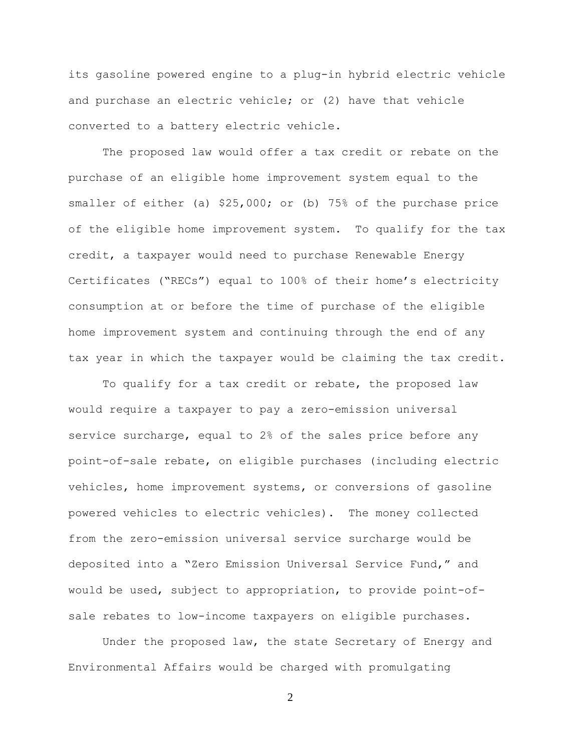its gasoline powered engine to a plug-in hybrid electric vehicle and purchase an electric vehicle; or (2) have that vehicle converted to a battery electric vehicle.

The proposed law would offer a tax credit or rebate on the purchase of an eligible home improvement system equal to the smaller of either (a) \$25,000; or (b) 75% of the purchase price of the eligible home improvement system. To qualify for the tax credit, a taxpayer would need to purchase Renewable Energy Certificates ("RECs") equal to 100% of their home's electricity consumption at or before the time of purchase of the eligible home improvement system and continuing through the end of any tax year in which the taxpayer would be claiming the tax credit.

To qualify for a tax credit or rebate, the proposed law would require a taxpayer to pay a zero-emission universal service surcharge, equal to 2% of the sales price before any point-of-sale rebate, on eligible purchases (including electric vehicles, home improvement systems, or conversions of gasoline powered vehicles to electric vehicles). The money collected from the zero-emission universal service surcharge would be deposited into a "Zero Emission Universal Service Fund," and would be used, subject to appropriation, to provide point-ofsale rebates to low-income taxpayers on eligible purchases.

Under the proposed law, the state Secretary of Energy and Environmental Affairs would be charged with promulgating

2